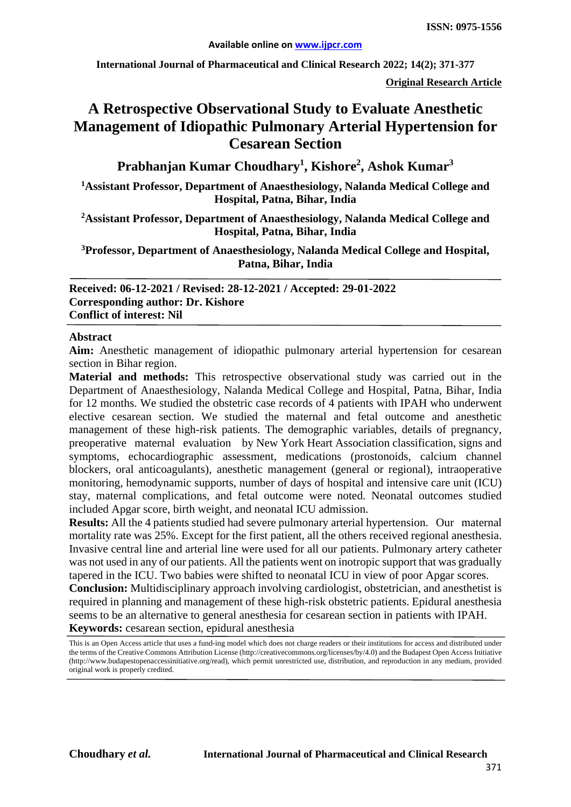**International Journal of Pharmaceutical and Clinical Research 2022; 14(2); 371-377**

**Original Research Article**

# **A Retrospective Observational Study to Evaluate Anesthetic Management of Idiopathic Pulmonary Arterial Hypertension for Cesarean Section**

**Prabhanjan Kumar Choudhary<sup>1</sup> , Kishore2 , Ashok Kumar3**

**1 Assistant Professor, Department of Anaesthesiology, Nalanda Medical College and Hospital, Patna, Bihar, India**

**2Assistant Professor, Department of Anaesthesiology, Nalanda Medical College and Hospital, Patna, Bihar, India**

**3Professor, Department of Anaesthesiology, Nalanda Medical College and Hospital, Patna, Bihar, India**

**Received: 06-12-2021 / Revised: 28-12-2021 / Accepted: 29-01-2022 Corresponding author: Dr. Kishore Conflict of interest: Nil**

#### **Abstract**

**Aim:** Anesthetic management of idiopathic pulmonary arterial hypertension for cesarean section in Bihar region.

**Material and methods:** This retrospective observational study was carried out in the Department of Anaesthesiology, Nalanda Medical College and Hospital, Patna, Bihar, India for 12 months. We studied the obstetric case records of 4 patients with IPAH who underwent elective cesarean section. We studied the maternal and fetal outcome and anesthetic management of these high-risk patients. The demographic variables, details of pregnancy, preoperative maternal evaluation by New York Heart Association classification, signs and symptoms, echocardiographic assessment, medications (prostonoids, calcium channel blockers, oral anticoagulants), anesthetic management (general or regional), intraoperative monitoring, hemodynamic supports, number of days of hospital and intensive care unit (ICU) stay, maternal complications, and fetal outcome were noted. Neonatal outcomes studied included Apgar score, birth weight, and neonatal ICU admission.

**Results:** All the 4 patients studied had severe pulmonary arterial hypertension. Our maternal mortality rate was 25%. Except for the first patient, all the others received regional anesthesia. Invasive central line and arterial line were used for all our patients. Pulmonary artery catheter was not used in any of our patients. All the patients went on inotropic support that was gradually tapered in the ICU. Two babies were shifted to neonatal ICU in view of poor Apgar scores.

**Conclusion:** Multidisciplinary approach involving cardiologist, obstetrician, and anesthetist is required in planning and management of these high-risk obstetric patients. Epidural anesthesia seems to be an alternative to general anesthesia for cesarean section in patients with IPAH. **Keywords:** cesarean section, epidural anesthesia

This is an Open Access article that uses a fund-ing model which does not charge readers or their institutions for access and distributed under the terms of the Creative Commons Attribution License (http://creativecommons.org/licenses/by/4.0) and the Budapest Open Access Initiative (http://www.budapestopenaccessinitiative.org/read), which permit unrestricted use, distribution, and reproduction in any medium, provided original work is properly credited.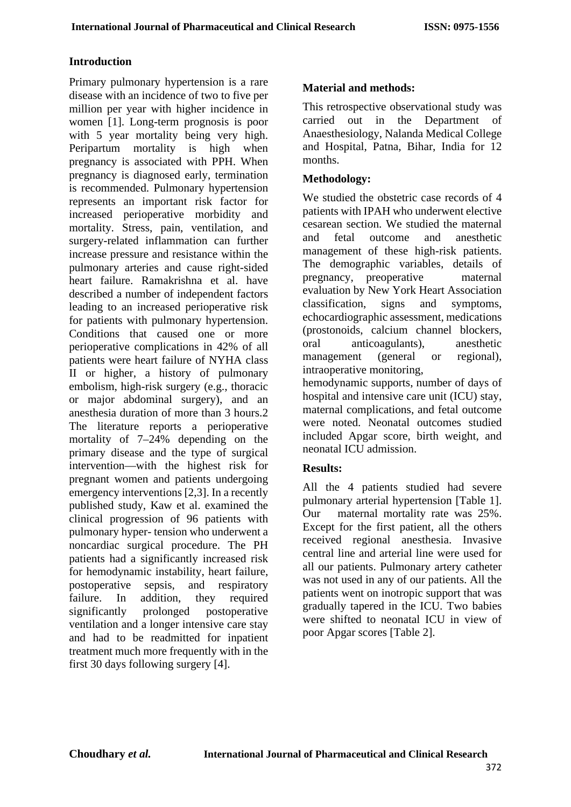#### **Introduction**

Primary pulmonary hypertension is a rare disease with an incidence of two to five per million per year with higher incidence in women [1]. Long-term prognosis is poor with 5 year mortality being very high. Peripartum mortality is high when pregnancy is associated with PPH. When pregnancy is diagnosed early, termination is recommended. Pulmonary hypertension represents an important risk factor for increased perioperative morbidity and mortality. Stress, pain, ventilation, and surgery-related inflammation can further increase pressure and resistance within the pulmonary arteries and cause right-sided heart failure. Ramakrishna et al. have described a number of independent factors leading to an increased perioperative risk for patients with pulmonary hypertension. Conditions that caused one or more perioperative complications in 42% of all patients were heart failure of NYHA class II or higher, a history of pulmonary embolism, high-risk surgery (e.g., thoracic or major abdominal surgery), and an anesthesia duration of more than 3 hours.2 The literature reports a perioperative mortality of 7–24% depending on the primary disease and the type of surgical intervention—with the highest risk for pregnant women and patients undergoing emergency interventions [2,3]. In a recently published study, Kaw et al. examined the clinical progression of 96 patients with pulmonary hyper- tension who underwent a noncardiac surgical procedure. The PH patients had a significantly increased risk for hemodynamic instability, heart failure, postoperative sepsis, and respiratory failure. In addition, they required significantly prolonged postoperative ventilation and a longer intensive care stay and had to be readmitted for inpatient treatment much more frequently with in the first 30 days following surgery [4].

## **Material and methods:**

This retrospective observational study was carried out in the Department of Anaesthesiology, Nalanda Medical College and Hospital, Patna, Bihar, India for 12 months.

## **Methodology:**

We studied the obstetric case records of 4 patients with IPAH who underwent elective cesarean section. We studied the maternal and fetal outcome and anesthetic management of these high-risk patients. The demographic variables, details of pregnancy, preoperative maternal evaluation by New York Heart Association classification, signs and symptoms, echocardiographic assessment, medications (prostonoids, calcium channel blockers, oral anticoagulants), anesthetic management (general or regional), intraoperative monitoring,

hemodynamic supports, number of days of hospital and intensive care unit (ICU) stay, maternal complications, and fetal outcome were noted. Neonatal outcomes studied included Apgar score, birth weight, and neonatal ICU admission.

### **Results:**

All the 4 patients studied had severe pulmonary arterial hypertension [Table 1]. Our maternal mortality rate was 25%. Except for the first patient, all the others received regional anesthesia. Invasive central line and arterial line were used for all our patients. Pulmonary artery catheter was not used in any of our patients. All the patients went on inotropic support that was gradually tapered in the ICU. Two babies were shifted to neonatal ICU in view of poor Apgar scores [Table 2].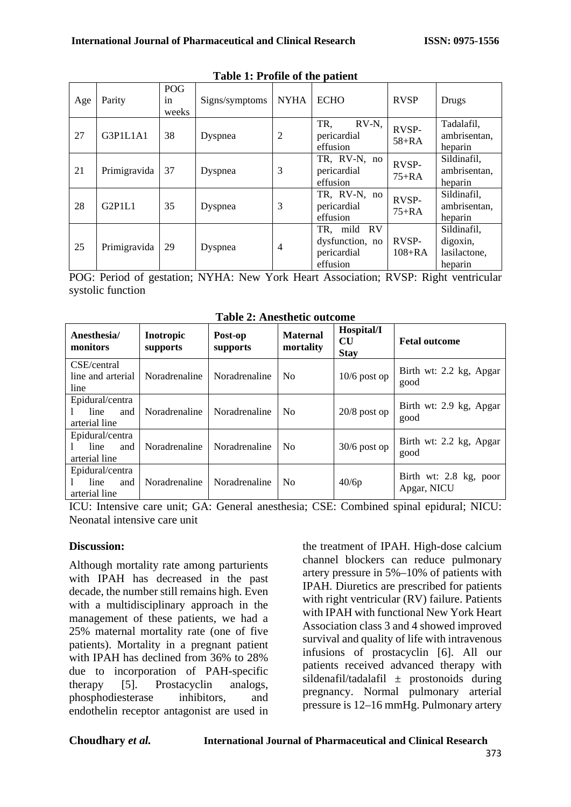| Age | Parity       | POG<br><i>in</i><br>weeks | Signs/symptoms | <b>NYHA</b>    | <b>ECHO</b>                                                  | <b>RVSP</b>             | Drugs                                              |
|-----|--------------|---------------------------|----------------|----------------|--------------------------------------------------------------|-------------------------|----------------------------------------------------|
| 27  | G3P1L1A1     | 38                        | Dyspnea        | $\overline{2}$ | TR,<br>RV-N,<br>pericardial<br>effusion                      | RVSP-<br>$58+RA$        | Tadalafil,<br>ambrisentan,<br>heparin              |
| 21  | Primigravida | 37                        | Dyspnea        | 3              | TR, RV-N, no<br>pericardial<br>effusion                      | <b>RVSP-</b><br>$75+RA$ | Sildinafil,<br>ambrisentan,<br>heparin             |
| 28  | G2P1L1       | 35                        | Dyspnea        | 3              | TR, RV-N, no<br>pericardial<br>effusion                      | <b>RVSP-</b><br>$75+RA$ | Sildinafil,<br>ambrisentan,<br>heparin             |
| 25  | Primigravida | 29                        | Dyspnea        | $\overline{4}$ | mild RV<br>TR.<br>dysfunction, no<br>pericardial<br>effusion | RVSP-<br>$108 + RA$     | Sildinafil,<br>digoxin,<br>lasilactone,<br>heparin |

**Table 1: Profile of the patient**

POG: Period of gestation; NYHA: New York Heart Association; RVSP: Right ventricular systolic function

| Anesthesia/<br>monitors                         | Inotropic<br>supports | Post-op<br>supports | <b>Maternal</b><br>mortality | Hospital/I<br><b>CU</b><br><b>Stay</b> | <b>Fetal outcome</b>                  |
|-------------------------------------------------|-----------------------|---------------------|------------------------------|----------------------------------------|---------------------------------------|
| CSE/central<br>line and arterial<br>line        | Noradrenaline         | Noradrenaline       | N <sub>0</sub>               | $10/6$ post op                         | Birth wt: 2.2 kg, Apgar<br>good       |
| Epidural/centra<br>line<br>and<br>arterial line | Noradrenaline         | Noradrenaline       | N <sub>0</sub>               | $20/8$ post op                         | Birth wt: 2.9 kg, Apgar<br>good       |
| Epidural/centra<br>line<br>and<br>arterial line | Noradrenaline         | Noradrenaline       | N <sub>0</sub>               | $30/6$ post op                         | Birth wt: 2.2 kg, Apgar<br>good       |
| Epidural/centra<br>line<br>and<br>arterial line | Noradrenaline         | Noradrenaline       | N <sub>0</sub>               | 40/6p                                  | Birth wt: 2.8 kg, poor<br>Apgar, NICU |

**Table 2: Anesthetic outcome**

ICU: Intensive care unit; GA: General anesthesia; CSE: Combined spinal epidural; NICU: Neonatal intensive care unit

#### **Discussion:**

Although mortality rate among parturients with IPAH has decreased in the past decade, the number still remains high. Even with a multidisciplinary approach in the management of these patients, we had a 25% maternal mortality rate (one of five patients). Mortality in a pregnant patient with IPAH has declined from 36% to 28% due to incorporation of PAH-specific therapy [5]. Prostacyclin analogs, phosphodiesterase inhibitors, and endothelin receptor antagonist are used in the treatment of IPAH. High-dose calcium channel blockers can reduce pulmonary artery pressure in 5%–10% of patients with IPAH. Diuretics are prescribed for patients with right ventricular (RV) failure. Patients with IPAH with functional New York Heart Association class 3 and 4 showed improved survival and quality of life with intravenous infusions of prostacyclin [6]. All our patients received advanced therapy with sildenafil/tadalafil  $\pm$  prostonoids during pregnancy. Normal pulmonary arterial pressure is 12–16 mmHg. Pulmonary artery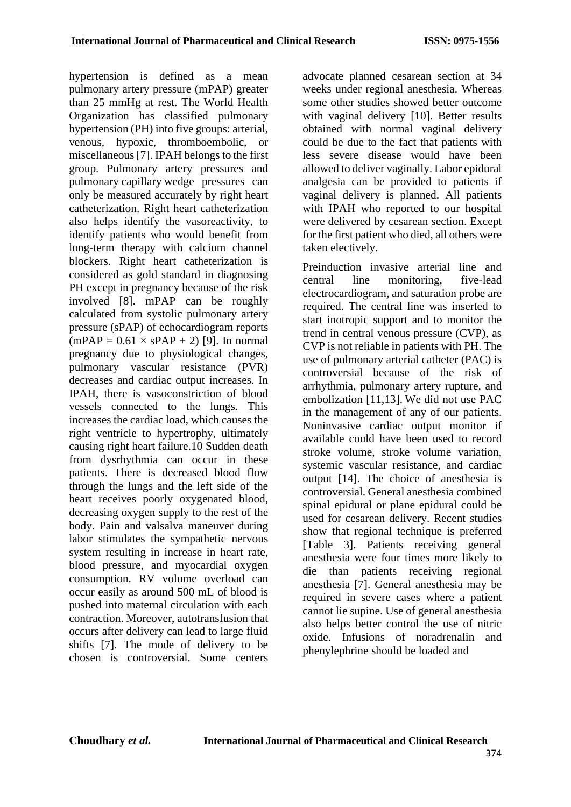hypertension is defined as a mean pulmonary artery pressure (mPAP) greater than 25 mmHg at rest. The World Health Organization has classified pulmonary hypertension (PH) into five groups: arterial, venous, hypoxic, thromboembolic, or miscellaneous [7]. IPAH belongs to the first group. Pulmonary artery pressures and pulmonary capillary wedge pressures can only be measured accurately by right heart catheterization. Right heart catheterization also helps identify the vasoreactivity, to identify patients who would benefit from long-term therapy with calcium channel blockers. Right heart catheterization is considered as gold standard in diagnosing PH except in pregnancy because of the risk involved [8]. mPAP can be roughly calculated from systolic pulmonary artery pressure (sPAP) of echocardiogram reports  $(mPAP = 0.61 \times sPAP + 2)$  [9]. In normal pregnancy due to physiological changes, pulmonary vascular resistance (PVR) decreases and cardiac output increases. In IPAH, there is vasoconstriction of blood vessels connected to the lungs. This increases the cardiac load, which causes the right ventricle to hypertrophy, ultimately causing right heart failure.10 Sudden death from dysrhythmia can occur in these patients. There is decreased blood flow through the lungs and the left side of the heart receives poorly oxygenated blood, decreasing oxygen supply to the rest of the body. Pain and valsalva maneuver during labor stimulates the sympathetic nervous system resulting in increase in heart rate, blood pressure, and myocardial oxygen consumption. RV volume overload can occur easily as around 500 mL of blood is pushed into maternal circulation with each contraction. Moreover, autotransfusion that occurs after delivery can lead to large fluid shifts [7]. The mode of delivery to be chosen is controversial. Some centers advocate planned cesarean section at 34 weeks under regional anesthesia. Whereas some other studies showed better outcome with vaginal delivery [10]. Better results obtained with normal vaginal delivery could be due to the fact that patients with less severe disease would have been allowed to deliver vaginally. Labor epidural analgesia can be provided to patients if vaginal delivery is planned. All patients with IPAH who reported to our hospital were delivered by cesarean section. Except for the first patient who died, all others were taken electively.

Preinduction invasive arterial line and central line monitoring, five-lead electrocardiogram, and saturation probe are required. The central line was inserted to start inotropic support and to monitor the trend in central venous pressure (CVP), as CVP is not reliable in patients with PH. The use of pulmonary arterial catheter (PAC) is controversial because of the risk of arrhythmia, pulmonary artery rupture, and embolization [11,13]. We did not use PAC in the management of any of our patients. Noninvasive cardiac output monitor if available could have been used to record stroke volume, stroke volume variation, systemic vascular resistance, and cardiac output [14]. The choice of anesthesia is controversial. General anesthesia combined spinal epidural or plane epidural could be used for cesarean delivery. Recent studies show that regional technique is preferred [Table 3]. Patients receiving general anesthesia were four times more likely to die than patients receiving regional anesthesia [7]. General anesthesia may be required in severe cases where a patient cannot lie supine. Use of general anesthesia also helps better control the use of nitric oxide. Infusions of noradrenalin and phenylephrine should be loaded and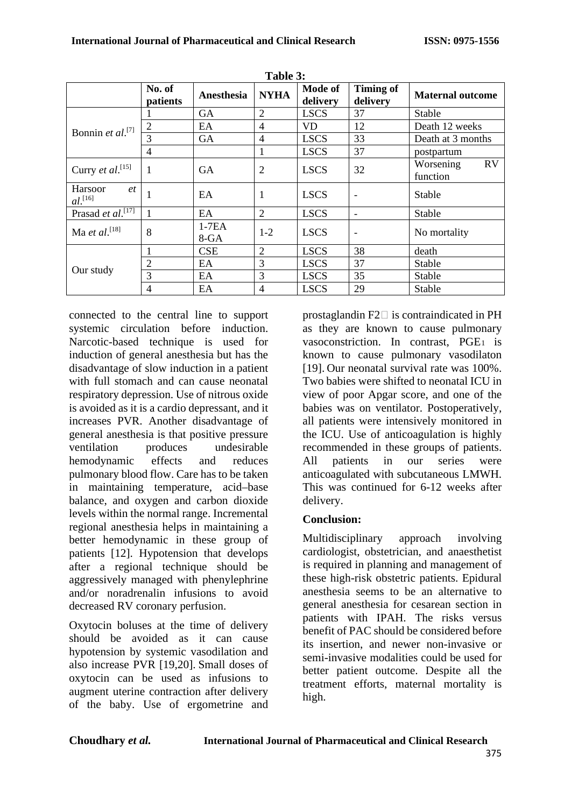| Table 3:                               |                    |                   |                |                     |                              |                             |  |
|----------------------------------------|--------------------|-------------------|----------------|---------------------|------------------------------|-----------------------------|--|
|                                        | No. of<br>patients | Anesthesia        | <b>NYHA</b>    | Mode of<br>delivery | <b>Timing of</b><br>delivery | <b>Maternal outcome</b>     |  |
|                                        |                    | <b>GA</b>         | $\overline{2}$ | <b>LSCS</b>         | 37                           | Stable                      |  |
| Bonnin et al. <sup>[7]</sup>           | $\overline{c}$     | EA                | 4              | VD                  | 12                           | Death 12 weeks              |  |
|                                        | 3                  | <b>GA</b>         | 4              | <b>LSCS</b>         | 33                           | Death at 3 months           |  |
|                                        | 4                  |                   | 1              | <b>LSCS</b>         | 37                           | postpartum                  |  |
| Curry et al. <sup>[15]</sup>           | 1                  | <b>GA</b>         | $\overline{2}$ | <b>LSCS</b>         | 32                           | RV<br>Worsening<br>function |  |
| Harsoor<br>et<br>$al.$ <sup>[16]</sup> |                    | EA                | 1              | <b>LSCS</b>         | -                            | Stable                      |  |
| Prasad et $aI$ <sup>[17]</sup>         | 1                  | EA                | $\overline{2}$ | <b>LSCS</b>         | $\blacksquare$               | Stable                      |  |
| Ma et al. $[18]$                       | 8                  | $1-7EA$<br>$8-GA$ | $1 - 2$        | <b>LSCS</b>         | ٠                            | No mortality                |  |
|                                        |                    | <b>CSE</b>        | $\overline{2}$ | <b>LSCS</b>         | 38                           | death                       |  |
|                                        | $\overline{2}$     | EA                | 3              | <b>LSCS</b>         | 37                           | Stable                      |  |
| Our study                              | 3                  | EA                | 3              | <b>LSCS</b>         | 35                           | Stable                      |  |
|                                        | $\overline{4}$     | EA                | 4              | <b>LSCS</b>         | 29                           | Stable                      |  |

Narcotic-based technique is used for induction of general anesthesia but has the disadvantage of slow induction in a patient with full stomach and can cause neonatal respiratory depression. Use of nitrous oxide is avoided as it is a cardio depressant, and it increases PVR. Another disadvantage of general anesthesia is that positive pressure ventilation produces undesirable hemodynamic effects and reduces pulmonary blood flow. Care has to be taken in maintaining temperature, acid–base balance, and oxygen and carbon dioxide levels within the normal range. Incremental regional anesthesia helps in maintaining a better hemodynamic in these group of patients [12]. Hypotension that develops after a regional technique should be aggressively managed with phenylephrine and/or noradrenalin infusions to avoid decreased RV coronary perfusion.

connected to the central line to support systemic circulation before induction.

Oxytocin boluses at the time of delivery should be avoided as it can cause hypotension by systemic vasodilation and also increase PVR [19,20]. Small doses of oxytocin can be used as infusions to augment uterine contraction after delivery of the baby. Use of ergometrine and prostaglandin  $F2 \Box$  is contraindicated in PH as they are known to cause pulmonary vasoconstriction. In contrast,  $PGE<sub>1</sub>$  is known to cause pulmonary vasodilaton [19]. Our neonatal survival rate was 100%. Two babies were shifted to neonatal ICU in view of poor Apgar score, and one of the babies was on ventilator. Postoperatively, all patients were intensively monitored in the ICU. Use of anticoagulation is highly recommended in these groups of patients. All patients in our series were anticoagulated with subcutaneous LMWH. This was continued for 6-12 weeks after delivery.

# **Conclusion:**

Multidisciplinary approach involving cardiologist, obstetrician, and anaesthetist is required in planning and management of these high-risk obstetric patients. Epidural anesthesia seems to be an alternative to general anesthesia for cesarean section in patients with IPAH. The risks versus benefit of PAC should be considered before its insertion, and newer non-invasive or semi-invasive modalities could be used for better patient outcome. Despite all the treatment efforts, maternal mortality is high.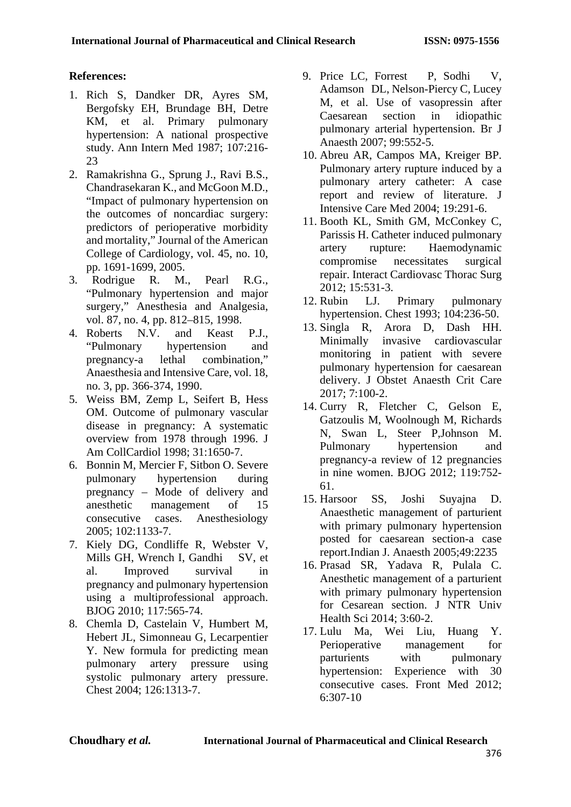# **References:**

- 1. Rich S, Dandker DR, Ayres SM, Bergofsky EH, Brundage BH, Detre KM, et al. Primary pulmonary hypertension: A national prospective study. Ann Intern Med 1987; 107:216- 23
- 2. Ramakrishna G., Sprung J., Ravi B.S., Chandrasekaran K., and McGoon M.D., "Impact of pulmonary hypertension on the outcomes of noncardiac surgery: predictors of perioperative morbidity and mortality," Journal of the American College of Cardiology, vol. 45, no. 10, pp. 1691-1699, 2005.<br>Rodrigue R. M..
- 3. Rodrigue R. M., Pearl R.G., "Pulmonary hypertension and major surgery," Anesthesia and Analgesia, vol. 87, no. 4, pp. 812–815, 1998.
- 4. Roberts N.V. and Keast P.J., "Pulmonary hypertension and pregnancy-a lethal combination," Anaesthesia and Intensive Care, vol. 18, no. 3, pp. 366-374, 1990.
- 5. Weiss BM, Zemp L, Seifert B, Hess OM. Outcome of pulmonary vascular disease in pregnancy: A systematic overview from 1978 through 1996. J Am CollCardiol 1998; 31:1650-7.
- 6. Bonnin M, Mercier F, Sitbon O. Severe pulmonary hypertension during pregnancy – Mode of delivery and anesthetic management of 15 consecutive cases. Anesthesiology 2005; 102:1133-7.
- 7. Kiely DG, Condliffe R, Webster V, Mills GH, Wrench I, Gandhi SV, et al. Improved survival in pregnancy and pulmonary hypertension using a multiprofessional approach. BJOG 2010; 117:565-74.
- 8. Chemla D, Castelain V, Humbert M, Hebert JL, Simonneau G, Lecarpentier Y. New formula for predicting mean pulmonary artery pressure using systolic pulmonary artery pressure. Chest 2004; 126:1313-7.
- 9. Price LC, Forrest P, Sodhi V, Adamson DL, Nelson-Piercy C, Lucey M, et al. Use of vasopressin after Caesarean section in idiopathic pulmonary arterial hypertension. Br J Anaesth 2007; 99:552-5.
- 10. Abreu AR, Campos MA, Kreiger BP. Pulmonary artery rupture induced by a pulmonary artery catheter: A case report and review of literature. J Intensive Care Med 2004; 19:291-6.
- 11. Booth KL, Smith GM, McConkey C, Parissis H. Catheter induced pulmonary artery rupture: Haemodynamic compromise necessitates surgical repair. Interact Cardiovasc Thorac Surg 2012; 15:531-3.
- 12. Rubin LJ. Primary pulmonary hypertension. Chest 1993; 104:236-50.
- 13. Singla R, Arora D, Dash HH. Minimally invasive cardiovascular monitoring in patient with severe pulmonary hypertension for caesarean delivery. J Obstet Anaesth Crit Care 2017; 7:100-2.
- 14. Curry R, Fletcher C, Gelson E, Gatzoulis M, Woolnough M, Richards N, Swan L, Steer P,Johnson M. Pulmonary hypertension and pregnancy-a review of 12 pregnancies in nine women. BJOG 2012; 119:752- 61.
- 15. Harsoor SS, Joshi Suyajna D. Anaesthetic management of parturient with primary pulmonary hypertension posted for caesarean section-a case report.Indian J. Anaesth 2005;49:2235
- 16. Prasad SR, Yadava R, Pulala C. Anesthetic management of a parturient with primary pulmonary hypertension for Cesarean section. J NTR Univ Health Sci 2014; 3:60-2.
- 17. Lulu Ma, Wei Liu, Huang Y. Perioperative management for<br>parturients with pulmonary with pulmonary hypertension: Experience with 30 consecutive cases. Front Med 2012; 6:307-10